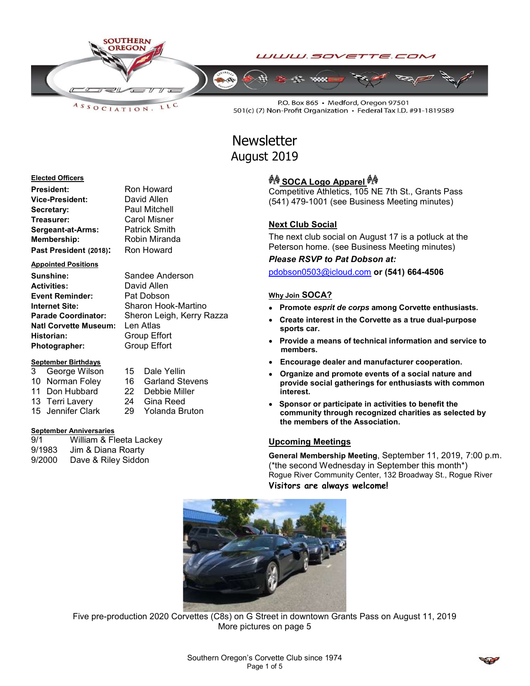

LLC  $A S S O C I AT I O N.$ 

P.O. Box 865 · Medford, Oregon 97501 501(c) (7) Non-Profit Organization · Federal Tax I.D. #91-1819589

# **Newsletter** August 2019

#### Elected Officers

| President:             | Ron Howard           |
|------------------------|----------------------|
| Vice-President:        | David Allen          |
| Secretary:             | <b>Paul Mitchell</b> |
| Treasurer:             | Carol Misner         |
| Sergeant-at-Arms:      | <b>Patrick Smith</b> |
| Membership:            | Robin Miranda        |
| Past President (2018): | Ron Howard           |

Appointed Positions

Sunshine: Sandee Anderson Activities: David Allen Event Reminder: Pat Dobson<br>
Internet Site: Sharon Hoo Parade Coordinator: Sheron Leigh, Kerry Razza Natl Corvette Museum: Len Atlas Historian: Group Effort Photographer: Group Effort

#### September Birthdays

- 10 Norman Foley 16 Garland Stevens 11 Don Hubbard 22 Debbie Miller 13 Terri Lavery 24 Gina Reed
- 3 George Wilson 15 Dale Yellin

Sharon Hook-Martino

15 Jennifer Clark 29 Yolanda Bruton

#### September Anniversaries

9/1 William & Fleeta Lackey 9/1983 Jim & Diana Roarty 9/2000 Dave & Riley Siddon

## ज़ै∲ SOCA Logo Apparel ज़ै∲

Competitive Athletics, 105 NE 7th St., Grants Pass (541) 479-1001 (see Business Meeting minutes)

#### Next Club Social

The next club social on August 17 is a potluck at the Peterson home. (see Business Meeting minutes)

#### Please RSVP to Pat Dobson at:

pdobson0503@icloud.com or (541) 664-4506

#### Why Join SOCA?

- Promote esprit de corps among Corvette enthusiasts.
- Create interest in the Corvette as a true dual-purpose sports car.
- Provide a means of technical information and service to members.
- Encourage dealer and manufacturer cooperation.
- Organize and promote events of a social nature and provide social gatherings for enthusiasts with common interest.
- Sponsor or participate in activities to benefit the community through recognized charities as selected by the members of the Association.

#### Upcoming Meetings

General Membership Meeting, September 11, 2019, 7:00 p.m. (\*the second Wednesday in September this month\*) Rogue River Community Center, 132 Broadway St., Rogue River Visitors are always welcome!



Five pre-production 2020 Corvettes (C8s) on G Street in downtown Grants Pass on August 11, 2019 More pictures on page 5

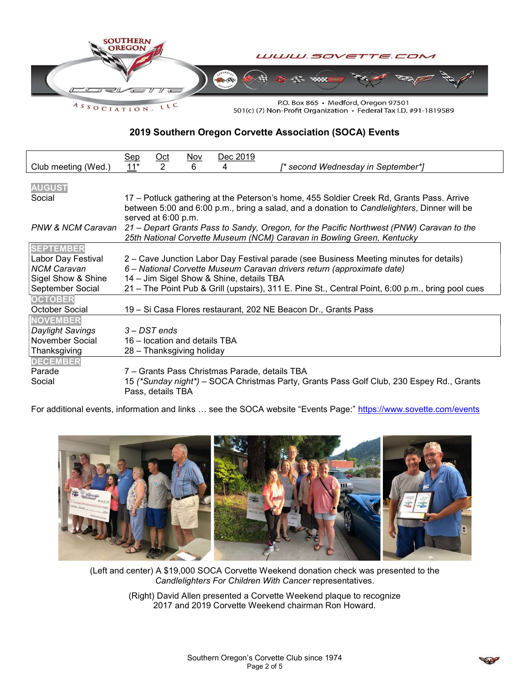

ASSOCIATION.

501(c) (7) Non-Profit Organization • Federal Tax I.D. #91-1819589

### 2019 Southern Oregon Corvette Association (SOCA) Events

|                     | <u>Sep</u>                                                                                                                                                                              | $Oct$             | Nov | Dec 2019                                      |                                                                                          |
|---------------------|-----------------------------------------------------------------------------------------------------------------------------------------------------------------------------------------|-------------------|-----|-----------------------------------------------|------------------------------------------------------------------------------------------|
| Club meeting (Wed.) | $11*$                                                                                                                                                                                   | 2                 | 6   | 4                                             | [* second Wednesday in September*]                                                       |
| <b>AUGUST</b>       |                                                                                                                                                                                         |                   |     |                                               |                                                                                          |
| Social              | 17 – Potluck gathering at the Peterson's home, 455 Soldier Creek Rd, Grants Pass. Arrive<br>between 5:00 and 6:00 p.m., bring a salad, and a donation to Candlelighters, Dinner will be |                   |     |                                               |                                                                                          |
|                     | served at 6:00 p.m.                                                                                                                                                                     |                   |     |                                               |                                                                                          |
| PNW & NCM Caravan   | 21 – Depart Grants Pass to Sandy, Oregon, for the Pacific Northwest (PNW) Caravan to the<br>25th National Corvette Museum (NCM) Caravan in Bowling Green, Kentucky                      |                   |     |                                               |                                                                                          |
| <b>SEPTEMBER</b>    |                                                                                                                                                                                         |                   |     |                                               |                                                                                          |
| Labor Day Festival  | 2 – Cave Junction Labor Day Festival parade (see Business Meeting minutes for details)                                                                                                  |                   |     |                                               |                                                                                          |
| <b>NCM Caravan</b>  | 6 – National Corvette Museum Caravan drivers return (approximate date)                                                                                                                  |                   |     |                                               |                                                                                          |
| Sigel Show & Shine  | 14 - Jim Sigel Show & Shine, details TBA                                                                                                                                                |                   |     |                                               |                                                                                          |
| September Social    | 21 – The Point Pub & Grill (upstairs), 311 E. Pine St., Central Point, 6:00 p.m., bring pool cues                                                                                       |                   |     |                                               |                                                                                          |
| <b>OCTOBER</b>      |                                                                                                                                                                                         |                   |     |                                               |                                                                                          |
| October Social      | 19 – Si Casa Flores restaurant, 202 NE Beacon Dr., Grants Pass                                                                                                                          |                   |     |                                               |                                                                                          |
| <b>NOVEMBER</b>     |                                                                                                                                                                                         |                   |     |                                               |                                                                                          |
| Daylight Savings    | 3 – DST ends                                                                                                                                                                            |                   |     |                                               |                                                                                          |
| November Social     | 16 – location and details TBA                                                                                                                                                           |                   |     |                                               |                                                                                          |
| Thanksgiving        | 28 - Thanksgiving holiday                                                                                                                                                               |                   |     |                                               |                                                                                          |
| <b>DECEMBER</b>     |                                                                                                                                                                                         |                   |     |                                               |                                                                                          |
| Parade              |                                                                                                                                                                                         |                   |     | 7 – Grants Pass Christmas Parade, details TBA |                                                                                          |
| Social              |                                                                                                                                                                                         | Pass, details TBA |     |                                               | 15 (*Sunday night*) – SOCA Christmas Party, Grants Pass Golf Club, 230 Espey Rd., Grants |

For additional events, information and links ... see the SOCA website "Events Page:" https://www.sovette.com/events



(Left and center) A \$19,000 SOCA Corvette Weekend donation check was presented to the Candlelighters For Children With Cancer representatives.

(Right) David Allen presented a Corvette Weekend plaque to recognize 2017 and 2019 Corvette Weekend chairman Ron Howard.

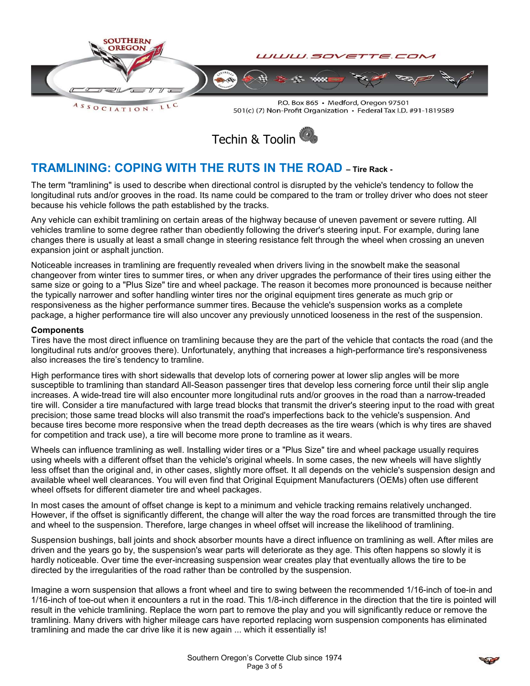

501(c) (7) Non-Profit Organization · Federal Tax I.D. #91-1819589



# TRAMLINING: COPING WITH THE RUTS IN THE ROAD – Tire Rack -

The term "tramlining" is used to describe when directional control is disrupted by the vehicle's tendency to follow the longitudinal ruts and/or grooves in the road. Its name could be compared to the tram or trolley driver who does not steer because his vehicle follows the path established by the tracks.

Any vehicle can exhibit tramlining on certain areas of the highway because of uneven pavement or severe rutting. All vehicles tramline to some degree rather than obediently following the driver's steering input. For example, during lane changes there is usually at least a small change in steering resistance felt through the wheel when crossing an uneven expansion joint or asphalt junction.

Noticeable increases in tramlining are frequently revealed when drivers living in the snowbelt make the seasonal changeover from winter tires to summer tires, or when any driver upgrades the performance of their tires using either the same size or going to a "Plus Size" tire and wheel package. The reason it becomes more pronounced is because neither the typically narrower and softer handling winter tires nor the original equipment tires generate as much grip or responsiveness as the higher performance summer tires. Because the vehicle's suspension works as a complete package, a higher performance tire will also uncover any previously unnoticed looseness in the rest of the suspension.

#### **Components**

Tires have the most direct influence on tramlining because they are the part of the vehicle that contacts the road (and the longitudinal ruts and/or grooves there). Unfortunately, anything that increases a high-performance tire's responsiveness also increases the tire's tendency to tramline.

High performance tires with short sidewalls that develop lots of cornering power at lower slip angles will be more susceptible to tramlining than standard All-Season passenger tires that develop less cornering force until their slip angle increases. A wide-tread tire will also encounter more longitudinal ruts and/or grooves in the road than a narrow-treaded tire will. Consider a tire manufactured with large tread blocks that transmit the driver's steering input to the road with great precision; those same tread blocks will also transmit the road's imperfections back to the vehicle's suspension. And because tires become more responsive when the tread depth decreases as the tire wears (which is why tires are shaved for competition and track use), a tire will become more prone to tramline as it wears.

Wheels can influence tramlining as well. Installing wider tires or a "Plus Size" tire and wheel package usually requires using wheels with a different offset than the vehicle's original wheels. In some cases, the new wheels will have slightly less offset than the original and, in other cases, slightly more offset. It all depends on the vehicle's suspension design and available wheel well clearances. You will even find that Original Equipment Manufacturers (OEMs) often use different wheel offsets for different diameter tire and wheel packages.

In most cases the amount of offset change is kept to a minimum and vehicle tracking remains relatively unchanged. However, if the offset is significantly different, the change will alter the way the road forces are transmitted through the tire and wheel to the suspension. Therefore, large changes in wheel offset will increase the likelihood of tramlining.

Suspension bushings, ball joints and shock absorber mounts have a direct influence on tramlining as well. After miles are driven and the years go by, the suspension's wear parts will deteriorate as they age. This often happens so slowly it is hardly noticeable. Over time the ever-increasing suspension wear creates play that eventually allows the tire to be directed by the irregularities of the road rather than be controlled by the suspension.

Imagine a worn suspension that allows a front wheel and tire to swing between the recommended 1/16-inch of toe-in and 1/16-inch of toe-out when it encounters a rut in the road. This 1/8-inch difference in the direction that the tire is pointed will result in the vehicle tramlining. Replace the worn part to remove the play and you will significantly reduce or remove the tramlining. Many drivers with higher mileage cars have reported replacing worn suspension components has eliminated tramlining and made the car drive like it is new again ... which it essentially is!

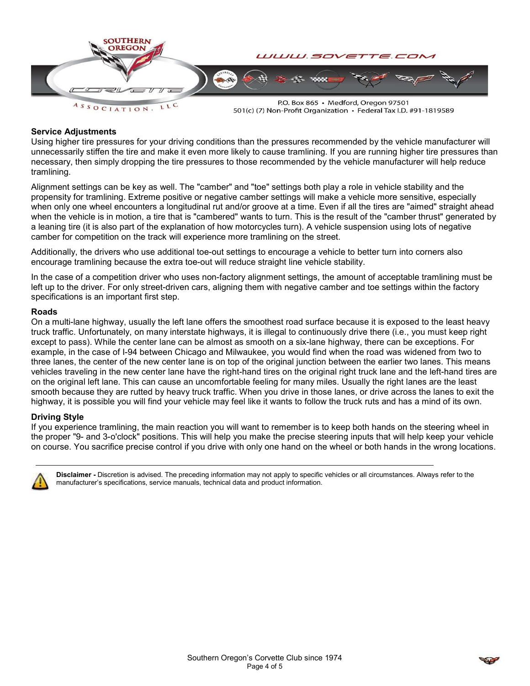

501(c) (7) Non-Profit Organization · Federal Tax I.D. #91-1819589

#### Service Adjustments

Using higher tire pressures for your driving conditions than the pressures recommended by the vehicle manufacturer will unnecessarily stiffen the tire and make it even more likely to cause tramlining. If you are running higher tire pressures than necessary, then simply dropping the tire pressures to those recommended by the vehicle manufacturer will help reduce tramlining.

Alignment settings can be key as well. The "camber" and "toe" settings both play a role in vehicle stability and the propensity for tramlining. Extreme positive or negative camber settings will make a vehicle more sensitive, especially when only one wheel encounters a longitudinal rut and/or groove at a time. Even if all the tires are "aimed" straight ahead when the vehicle is in motion, a tire that is "cambered" wants to turn. This is the result of the "camber thrust" generated by a leaning tire (it is also part of the explanation of how motorcycles turn). A vehicle suspension using lots of negative camber for competition on the track will experience more tramlining on the street.

Additionally, the drivers who use additional toe-out settings to encourage a vehicle to better turn into corners also encourage tramlining because the extra toe-out will reduce straight line vehicle stability.

In the case of a competition driver who uses non-factory alignment settings, the amount of acceptable tramlining must be left up to the driver. For only street-driven cars, aligning them with negative camber and toe settings within the factory specifications is an important first step.

#### Roads

On a multi-lane highway, usually the left lane offers the smoothest road surface because it is exposed to the least heavy truck traffic. Unfortunately, on many interstate highways, it is illegal to continuously drive there (i.e., you must keep right except to pass). While the center lane can be almost as smooth on a six-lane highway, there can be exceptions. For example, in the case of I-94 between Chicago and Milwaukee, you would find when the road was widened from two to three lanes, the center of the new center lane is on top of the original junction between the earlier two lanes. This means vehicles traveling in the new center lane have the right-hand tires on the original right truck lane and the left-hand tires are on the original left lane. This can cause an uncomfortable feeling for many miles. Usually the right lanes are the least smooth because they are rutted by heavy truck traffic. When you drive in those lanes, or drive across the lanes to exit the highway, it is possible you will find your vehicle may feel like it wants to follow the truck ruts and has a mind of its own.

#### Driving Style

If you experience tramlining, the main reaction you will want to remember is to keep both hands on the steering wheel in the proper "9- and 3-o'clock" positions. This will help you make the precise steering inputs that will help keep your vehicle on course. You sacrifice precise control if you drive with only one hand on the wheel or both hands in the wrong locations.



Disclaimer - Discretion is advised. The preceding information may not apply to specific vehicles or all circumstances. Always refer to the manufacturer's specifications, service manuals, technical data and product information.